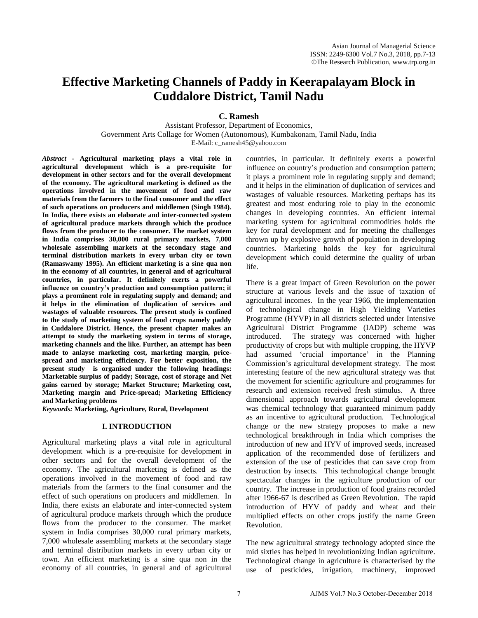# **Effective Marketing Channels of Paddy in Keerapalayam Block in Cuddalore District, Tamil Nadu**

**C. Ramesh** 

Assistant Professor, Department of Economics, Government Arts Collage for Women (Autonomous), Kumbakonam, Tamil Nadu, India E-Mail: c\_ramesh45@yahoo.com

*Abstract* **- Agricultural marketing plays a vital role in agricultural development which is a pre-requisite for development in other sectors and for the overall development of the economy. The agricultural marketing is defined as the operations involved in the movement of food and raw materials from the farmers to the final consumer and the effect of such operations on producers and middlemen (Singh 1984). In India, there exists an elaborate and inter-connected system of agricultural produce markets through which the produce flows from the producer to the consumer. The market system in India comprises 30,000 rural primary markets, 7,000 wholesale assembling markets at the secondary stage and terminal distribution markets in every urban city or town (Ramaswamy 1995). An efficient marketing is a sine qua non in the economy of all countries, in general and of agricultural countries, in particular. It definitely exerts a powerful influence on country's production and consumption pattern; it plays a prominent role in regulating supply and demand; and it helps in the elimination of duplication of services and wastages of valuable resources. The present study is confined to the study of marketing system of food crops namely paddy in Cuddalore District. Hence, the present chapter makes an attempt to study the marketing system in terms of storage, marketing channels and the like. Further, an attempt has been made to anlayse marketing cost, marketing margin, pricespread and marketing efficiency. For better exposition, the present study is organised under the following headings: Marketable surplus of paddy; Storage, cost of storage and Net gains earned by storage; Market Structure; Marketing cost, Marketing margin and Price-spread; Marketing Efficiency and Marketing problems** 

*Keywords:* **Marketing, Agriculture, Rural, Development** 

## **I. INTRODUCTION**

Agricultural marketing plays a vital role in agricultural development which is a pre-requisite for development in other sectors and for the overall development of the economy. The agricultural marketing is defined as the operations involved in the movement of food and raw materials from the farmers to the final consumer and the effect of such operations on producers and middlemen. In India, there exists an elaborate and inter-connected system of agricultural produce markets through which the produce flows from the producer to the consumer. The market system in India comprises 30,000 rural primary markets, 7,000 wholesale assembling markets at the secondary stage and terminal distribution markets in every urban city or town. An efficient marketing is a sine qua non in the economy of all countries, in general and of agricultural

countries, in particular. It definitely exerts a powerful influence on country's production and consumption pattern; it plays a prominent role in regulating supply and demand; and it helps in the elimination of duplication of services and wastages of valuable resources. Marketing perhaps has its greatest and most enduring role to play in the economic changes in developing countries. An efficient internal marketing system for agricultural commodities holds the key for rural development and for meeting the challenges thrown up by explosive growth of population in developing countries. Marketing holds the key for agricultural development which could determine the quality of urban life.

There is a great impact of Green Revolution on the power structure at various levels and the issue of taxation of agricultural incomes. In the year 1966, the implementation of technological change in High Yielding Varieties Programme (HYVP) in all districts selected under Intensive Agricultural District Programme (IADP) scheme was introduced. The strategy was concerned with higher productivity of crops but with multiple cropping, the HYVP had assumed 'crucial importance' in the Planning Commission's agricultural development strategy. The most interesting feature of the new agricultural strategy was that the movement for scientific agriculture and programmes for research and extension received fresh stimulus. A three dimensional approach towards agricultural development was chemical technology that guaranteed minimum paddy as an incentive to agricultural production. Technological change or the new strategy proposes to make a new technological breakthrough in India which comprises the introduction of new and HYV of improved seeds, increased application of the recommended dose of fertilizers and extension of the use of pesticides that can save crop from destruction by insects. This technological change brought spectacular changes in the agriculture production of our country. The increase in production of food grains recorded after 1966-67 is described as Green Revolution. The rapid introduction of HYV of paddy and wheat and their multiplied effects on other crops justify the name Green Revolution.

The new agricultural strategy technology adopted since the mid sixties has helped in revolutionizing Indian agriculture. Technological change in agriculture is characterised by the use of pesticides, irrigation, machinery, improved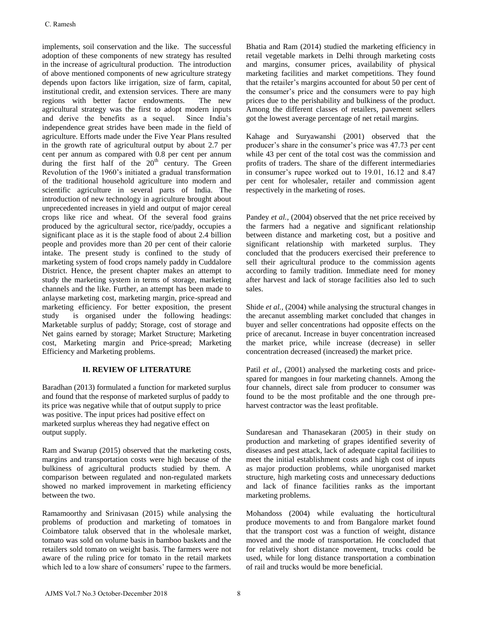implements, soil conservation and the like. The successful adoption of these components of new strategy has resulted in the increase of agricultural production. The introduction of above mentioned components of new agriculture strategy depends upon factors like irrigation, size of farm, capital, institutional credit, and extension services. There are many regions with better factor endowments. The new agricultural strategy was the first to adopt modern inputs and derive the benefits as a sequel. Since India's independence great strides have been made in the field of agriculture. Efforts made under the Five Year Plans resulted in the growth rate of agricultural output by about 2.7 per cent per annum as compared with 0.8 per cent per annum during the first half of the  $20<sup>th</sup>$  century. The Green Revolution of the 1960's initiated a gradual transformation of the traditional household agriculture into modern and scientific agriculture in several parts of India. The introduction of new technology in agriculture brought about unprecedented increases in yield and output of major cereal crops like rice and wheat. Of the several food grains produced by the agricultural sector, rice/paddy, occupies a significant place as it is the staple food of about 2.4 billion people and provides more than 20 per cent of their calorie intake. The present study is confined to the study of marketing system of food crops namely paddy in Cuddalore District. Hence, the present chapter makes an attempt to study the marketing system in terms of storage, marketing channels and the like. Further, an attempt has been made to anlayse marketing cost, marketing margin, price-spread and marketing efficiency. For better exposition, the present study is organised under the following headings: Marketable surplus of paddy; Storage, cost of storage and Net gains earned by storage; Market Structure; Marketing cost, Marketing margin and Price-spread; Marketing Efficiency and Marketing problems.

# **II. REVIEW OF LITERATURE**

Baradhan (2013) formulated a function for marketed surplus and found that the response of marketed surplus of paddy to its price was negative while that of output supply to price was positive. The input prices had positive effect on marketed surplus whereas they had negative effect on output supply.

Ram and Swarup (2015) observed that the marketing costs, margins and transportation costs were high because of the bulkiness of agricultural products studied by them. A comparison between regulated and non-regulated markets showed no marked improvement in marketing efficiency between the two.

Ramamoorthy and Srinivasan (2015) while analysing the problems of production and marketing of tomatoes in Coimbatore taluk observed that in the wholesale market, tomato was sold on volume basis in bamboo baskets and the retailers sold tomato on weight basis. The farmers were not aware of the ruling price for tomato in the retail markets which led to a low share of consumers' rupee to the farmers. Bhatia and Ram (2014) studied the marketing efficiency in retail vegetable markets in Delhi through marketing costs and margins, consumer prices, availability of physical marketing facilities and market competitions. They found that the retailer's margins accounted for about 50 per cent of the consumer's price and the consumers were to pay high prices due to the perishability and bulkiness of the product. Among the different classes of retailers, pavement sellers got the lowest average percentage of net retail margins.

Kahage and Suryawanshi (2001) observed that the producer's share in the consumer's price was 47.73 per cent while 43 per cent of the total cost was the commission and profits of traders. The share of the different intermediaries in consumer's rupee worked out to 19.01, 16.12 and 8.47 per cent for wholesaler, retailer and commission agent respectively in the marketing of roses.

Pandey *et al.,* (2004) observed that the net price received by the farmers had a negative and significant relationship between distance and marketing cost, but a positive and significant relationship with marketed surplus. They concluded that the producers exercised their preference to sell their agricultural produce to the commission agents according to family tradition. Immediate need for money after harvest and lack of storage facilities also led to such sales.

Shide *et al.,* (2004) while analysing the structural changes in the arecanut assembling market concluded that changes in buyer and seller concentrations had opposite effects on the price of arecanut. Increase in buyer concentration increased the market price, while increase (decrease) in seller concentration decreased (increased) the market price.

Patil *et al.*, (2001) analysed the marketing costs and pricespared for mangoes in four marketing channels. Among the four channels, direct sale from producer to consumer was found to be the most profitable and the one through preharvest contractor was the least profitable.

Sundaresan and Thanasekaran (2005) in their study on production and marketing of grapes identified severity of diseases and pest attack, lack of adequate capital facilities to meet the initial establishment costs and high cost of inputs as major production problems, while unorganised market structure, high marketing costs and unnecessary deductions and lack of finance facilities ranks as the important marketing problems.

Mohandoss (2004) while evaluating the horticultural produce movements to and from Bangalore market found that the transport cost was a function of weight, distance moved and the mode of transportation. He concluded that for relatively short distance movement, trucks could be used, while for long distance transportation a combination of rail and trucks would be more beneficial.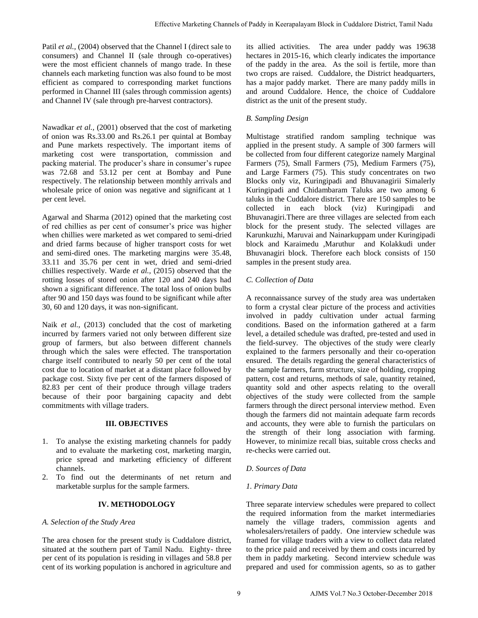Patil *et al.*, (2004) observed that the Channel I (direct sale to consumers) and Channel II (sale through co-operatives) were the most efficient channels of mango trade. In these channels each marketing function was also found to be most efficient as compared to corresponding market functions performed in Channel III (sales through commission agents) and Channel IV (sale through pre-harvest contractors).

Nawadkar *et al.,* (2001) observed that the cost of marketing of onion was Rs.33.00 and Rs.26.1 per quintal at Bombay and Pune markets respectively. The important items of marketing cost were transportation, commission and packing material. The producer's share in consumer's rupee was 72.68 and 53.12 per cent at Bombay and Pune respectively. The relationship between monthly arrivals and wholesale price of onion was negative and significant at 1 per cent level.

Agarwal and Sharma (2012) opined that the marketing cost of red chillies as per cent of consumer's price was higher when chillies were marketed as wet compared to semi-dried and dried farms because of higher transport costs for wet and semi-dired ones. The marketing margins were 35.48, 33.11 and 35.76 per cent in wet, dried and semi-dried chillies respectively. Warde *et al.,* (2015) observed that the rotting losses of stored onion after 120 and 240 days had shown a significant difference. The total loss of onion bulbs after 90 and 150 days was found to be significant while after 30, 60 and 120 days, it was non-significant.

Naik *et al.,* (2013) concluded that the cost of marketing incurred by farmers varied not only between different size group of farmers, but also between different channels through which the sales were effected. The transportation charge itself contributed to nearly 50 per cent of the total cost due to location of market at a distant place followed by package cost. Sixty five per cent of the farmers disposed of 82.83 per cent of their produce through village traders because of their poor bargaining capacity and debt commitments with village traders.

## **III. OBJECTIVES**

- 1. To analyse the existing marketing channels for paddy and to evaluate the marketing cost, marketing margin, price spread and marketing efficiency of different channels.
- 2. To find out the determinants of net return and marketable surplus for the sample farmers.

# **IV. METHODOLOGY**

## *A. Selection of the Study Area*

The area chosen for the present study is Cuddalore district, situated at the southern part of Tamil Nadu. Eighty- three per cent of its population is residing in villages and 58.8 per cent of its working population is anchored in agriculture and its allied activities. The area under paddy was 19638 hectares in 2015-16, which clearly indicates the importance of the paddy in the area. As the soil is fertile, more than two crops are raised. Cuddalore, the District headquarters, has a major paddy market. There are many paddy mills in and around Cuddalore. Hence, the choice of Cuddalore district as the unit of the present study.

# *B. Sampling Design*

Multistage stratified random sampling technique was applied in the present study. A sample of 300 farmers will be collected from four different categorize namely Marginal Farmers (75), Small Farmers (75), Medium Farmers (75), and Large Farmers (75). This study concentrates on two Blocks only viz, Kuringipadi and Bhuvanagirii Simalerly Kuringipadi and Chidambaram Taluks are two among 6 taluks in the Cuddalore district. There are 150 samples to be collected in each block (viz) Kuringipadi and Bhuvanagiri.There are three villages are selected from each block for the present study. The selected villages are Karunkuzhi, Maruvai and Nainarkuppam under Kuringipadi block and Karaimedu ,Maruthur and Kolakkudi under Bhuvanagiri block. Therefore each block consists of 150 samples in the present study area.

# *C. Collection of Data*

A reconnaissance survey of the study area was undertaken to form a crystal clear picture of the process and activities involved in paddy cultivation under actual farming conditions. Based on the information gathered at a farm level, a detailed schedule was drafted, pre-tested and used in the field-survey. The objectives of the study were clearly explained to the farmers personally and their co-operation ensured. The details regarding the general characteristics of the sample farmers, farm structure, size of holding, cropping pattern, cost and returns, methods of sale, quantity retained, quantity sold and other aspects relating to the overall objectives of the study were collected from the sample farmers through the direct personal interview method. Even though the farmers did not maintain adequate farm records and accounts, they were able to furnish the particulars on the strength of their long association with farming. However, to minimize recall bias, suitable cross checks and re-checks were carried out. Finience Marketarig Channels of Paddy in Keerapalayam Block in Caldalor District, Tamil Nadu<br>Channel I (dicere tais to be alled adeticles. The aistes and paddy was 1962<br>channel I dicere tais to be alled adeticles. The ais

## *D. Sources of Data*

## *1. Primary Data*

Three separate interview schedules were prepared to collect the required information from the market intermediaries namely the village traders, commission agents and wholesalers/retailers of paddy. One interview schedule was framed for village traders with a view to collect data related to the price paid and received by them and costs incurred by them in paddy marketing. Second interview schedule was prepared and used for commission agents, so as to gather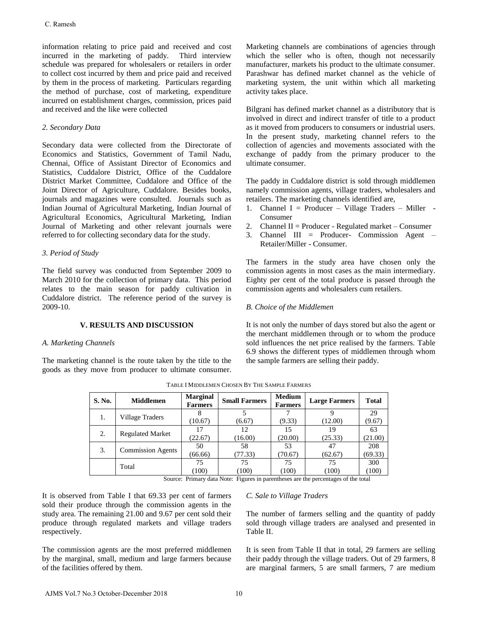information relating to price paid and received and cost incurred in the marketing of paddy. Third interview schedule was prepared for wholesalers or retailers in order to collect cost incurred by them and price paid and received by them in the process of marketing. Particulars regarding the method of purchase, cost of marketing, expenditure incurred on establishment charges, commission, prices paid and received and the like were collected

## *2. Secondary Data*

Secondary data were collected from the Directorate of Economics and Statistics, Government of Tamil Nadu, Chennai, Office of Assistant Director of Economics and Statistics, Cuddalore District, Office of the Cuddalore District Market Committee, Cuddalore and Office of the Joint Director of Agriculture, Cuddalore. Besides books, journals and magazines were consulted. Journals such as Indian Journal of Agricultural Marketing, Indian Journal of Agricultural Economics, Agricultural Marketing, Indian Journal of Marketing and other relevant journals were referred to for collecting secondary data for the study. C. Ramesh<br>
metromation relating to price paid and received and cost<br>
meteruation in the murkching of paddy. Third interview<br>
chechalle was pregnaed for wholesales or resulting: the order of<br>
chechalle was pregnaed for whi

# *3. Period of Study*

The field survey was conducted from September 2009 to March 2010 for the collection of primary data. This period relates to the main season for paddy cultivation in Cuddalore district. The reference period of the survey is 2009-10.

## **V. RESULTS AND DISCUSSION**

## *A. Marketing Channels*

The marketing channel is the route taken by the title to the goods as they move from producer to ultimate consumer. Marketing channels are combinations of agencies through which the seller who is often, though not necessarily manufacturer, markets his product to the ultimate consumer. Parashwar has defined market channel as the vehicle of marketing system, the unit within which all marketing activity takes place.

Bilgrani has defined market channel as a distributory that is involved in direct and indirect transfer of title to a product as it moved from producers to consumers or industrial users. In the present study, marketing channel refers to the collection of agencies and movements associated with the exchange of paddy from the primary producer to the ultimate consumer.

The paddy in Cuddalore district is sold through middlemen namely commission agents, village traders, wholesalers and retailers. The marketing channels identified are,

- 1. Channel I = Producer Village Traders Miller Consumer
- 2. Channel II = Producer Regulated market Consumer
- 3. Channel III = Producer- Commission Agent Retailer/Miller - Consumer.

The farmers in the study area have chosen only the commission agents in most cases as the main intermediary. Eighty per cent of the total produce is passed through the commission agents and wholesalers cum retailers.

## *B. Choice of the Middlemen*

It is not only the number of days stored but also the agent or the merchant middlemen through or to whom the produce sold influences the net price realised by the farmers. Table 6.9 shows the different types of middlemen through whom the sample farmers are selling their paddy.

| S. No. | <b>Middlemen</b>         | <b>Marginal</b><br><b>Farmers</b> | <b>Small Farmers</b> | <b>Medium</b><br><b>Farmers</b> | <b>Large Farmers</b> | <b>Total</b> |
|--------|--------------------------|-----------------------------------|----------------------|---------------------------------|----------------------|--------------|
| 1.     | Village Traders          |                                   |                      |                                 |                      | 29           |
|        |                          | (10.67)                           | (6.67)               | (9.33)                          | (12.00)              | (9.67)       |
| 2.     |                          | 17                                | 12                   | 15                              | 19                   | 63           |
|        | <b>Regulated Market</b>  | (22.67)                           | (16.00)              | (20.00)                         | (25.33)              | (21.00)      |
| 3.     | <b>Commission Agents</b> | 50                                | 58                   | 53                              | 47                   | 208          |
|        |                          | (66.66)                           | (77.33)              | (70.67)                         | (62.67)              | (69.33)      |
|        | Total                    | 75                                | 75                   | 75                              | 75                   | 300          |
|        |                          | (100)                             | (100)                | (100)                           | (100)                | (100)        |

TABLE I MIDDLEMEN CHOSEN BY THE SAMPLE FARMERS

Source: Primary data Note: Figures in parentheses are the percentages of the total

It is observed from Table I that 69.33 per cent of farmers sold their produce through the commission agents in the study area. The remaining 21.00 and 9.67 per cent sold their produce through regulated markets and village traders respectively.

The commission agents are the most preferred middlemen by the marginal, small, medium and large farmers because of the facilities offered by them.

## *C. Sale to Village Traders*

The number of farmers selling and the quantity of paddy sold through village traders are analysed and presented in Table II.

It is seen from Table II that in total, 29 farmers are selling their paddy through the village traders. Out of 29 farmers, 8 are marginal farmers, 5 are small farmers, 7 are medium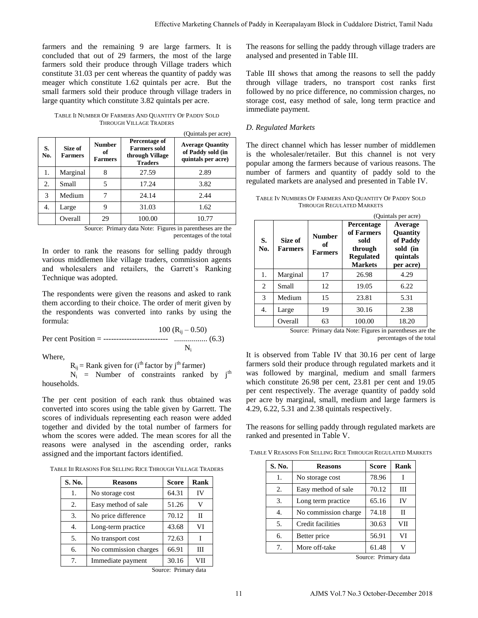farmers and the remaining 9 are large farmers. It is concluded that out of 29 farmers, the most of the large farmers sold their produce through Village traders which constitute 31.03 per cent whereas the quantity of paddy was meager which constitute 1.62 quintals per acre. But the small farmers sold their produce through village traders in large quantity which constitute 3.82 quintals per acre.

TABLE II NUMBER OF FARMERS AND QUANTITY OF PADDY SOLD THROUGH VILLAGE TRADERS

|           |                           |                                                                                                                    |        | (Quintais per acre)                                                |
|-----------|---------------------------|--------------------------------------------------------------------------------------------------------------------|--------|--------------------------------------------------------------------|
| S.<br>No. | Size of<br><b>Farmers</b> | Percentage of<br><b>Number</b><br><b>Farmers sold</b><br>of<br>through Village<br><b>Farmers</b><br><b>Traders</b> |        | <b>Average Quantity</b><br>of Paddy sold (in<br>quintals per acre) |
| 1.        | Marginal                  | 8                                                                                                                  | 27.59  | 2.89                                                               |
| 2.        | Small                     | 5                                                                                                                  | 17.24  | 3.82                                                               |
| 3         | Medium                    |                                                                                                                    | 24.14  | 2.44                                                               |
| 4.        | Large                     | 9                                                                                                                  | 31.03  | 1.62                                                               |
|           | Overall                   | 29                                                                                                                 | 100.00 | 10.77                                                              |

Source: Primary data Note: Figures in parentheses are the percentages of the total

In order to rank the reasons for selling paddy through various middlemen like village traders, commission agents and wholesalers and retailers, the Garrett's Ranking Technique was adopted.

The respondents were given the reasons and asked to rank them according to their choice. The order of merit given by the respondents was converted into ranks by using the formula:

 $100 (R_{ij} - 0.50)$ Per cent Position = ------------------------- ................. (6.3)  $N_i$ 

Where,

 $R_{ii}$  = Rank given for (i<sup>th</sup> factor by j<sup>th</sup> farmer)

 $N_i$  = Number of constraints ranked by  $j<sup>th</sup>$ households.

The per cent position of each rank thus obtained was converted into scores using the table given by Garrett. The scores of individuals representing each reason were added together and divided by the total number of farmers for whom the scores were added. The mean scores for all the reasons were analysed in the ascending order, ranks assigned and the important factors identified.

TABLE III REASONS FOR SELLING RICE THROUGH VILLAGE TRADERS

| S. No. | <b>Reasons</b>        | <b>Score</b> | Rank |
|--------|-----------------------|--------------|------|
| 1.     | No storage cost       | 64.31        | IV   |
| 2.     | Easy method of sale   | 51.26        | V    |
| 3.     | No price difference   | 70.12        | Н    |
| 4.     | Long-term practice    | 43.68        | VI   |
| 5.     | No transport cost     | 72.63        | T    |
| б.     | No commission charges | 66.91        | Ш    |
| 7.     | Immediate payment     | 30.16        | VH   |

Source: Primary data

## *D. Regulated Markets*

TABLE IV NUMBERS OF FARMERS AND QUANTITY OF PADDY SOLD THROUGH REGULATED MARKETS

|                                |                |                                                                    |                                                                                                                                                                                  |                                                                                                                  |                      |  | Effective Marketing Channels of Paddy in Keerapalayam Block in Cuddalore District, Tamil Nadu                                                                                |                                               |                      |                                   |  |
|--------------------------------|----------------|--------------------------------------------------------------------|----------------------------------------------------------------------------------------------------------------------------------------------------------------------------------|------------------------------------------------------------------------------------------------------------------|----------------------|--|------------------------------------------------------------------------------------------------------------------------------------------------------------------------------|-----------------------------------------------|----------------------|-----------------------------------|--|
|                                |                | e large farmers. It is<br>the most of the large                    |                                                                                                                                                                                  |                                                                                                                  |                      |  | The reasons for selling the paddy through village traders are<br>analysed and presented in Table III.                                                                        |                                               |                      |                                   |  |
|                                |                | 1 Village traders which<br>e quantity of paddy was                 |                                                                                                                                                                                  |                                                                                                                  |                      |  |                                                                                                                                                                              |                                               |                      |                                   |  |
|                                |                | itals per acre. But the                                            |                                                                                                                                                                                  | Table III shows that among the reasons to sell the padd<br>through village traders, no transport cost ranks firs |                      |  |                                                                                                                                                                              |                                               |                      |                                   |  |
|                                |                | rough village traders in                                           |                                                                                                                                                                                  |                                                                                                                  |                      |  | followed by no price difference, no commission charges, no                                                                                                                   |                                               |                      |                                   |  |
|                                |                | quintals per acre.                                                 |                                                                                                                                                                                  |                                                                                                                  |                      |  | storage cost, easy method of sale, long term practice and                                                                                                                    |                                               |                      |                                   |  |
| RADERS                         |                | JANTITY OF PADDY SOLD                                              |                                                                                                                                                                                  |                                                                                                                  | immediate payment.   |  |                                                                                                                                                                              |                                               |                      |                                   |  |
|                                |                | (Quintals per acre)                                                |                                                                                                                                                                                  |                                                                                                                  | D. Regulated Markets |  |                                                                                                                                                                              |                                               |                      |                                   |  |
| ge of<br>sold<br>illage<br>`S  |                | <b>Average Quantity</b><br>of Paddy sold (in<br>quintals per acre) | The direct channel which has lesser number of middlemer<br>is the wholesaler/retailer. But this channel is not very<br>popular among the farmers because of various reasons. The |                                                                                                                  |                      |  |                                                                                                                                                                              |                                               |                      |                                   |  |
|                                |                | 2.89                                                               |                                                                                                                                                                                  |                                                                                                                  |                      |  | number of farmers and quantity of paddy sold to the                                                                                                                          |                                               |                      |                                   |  |
|                                |                | 3.82                                                               |                                                                                                                                                                                  |                                                                                                                  |                      |  | regulated markets are analysed and presented in Table IV.                                                                                                                    |                                               |                      |                                   |  |
|                                |                | 2.44                                                               |                                                                                                                                                                                  |                                                                                                                  |                      |  | TABLE IV NUMBERS OF FARMERS AND QUANTITY OF PADDY SOLD                                                                                                                       |                                               |                      |                                   |  |
|                                |                | 1.62                                                               |                                                                                                                                                                                  |                                                                                                                  |                      |  | <b>THROUGH REGULATED MARKETS</b>                                                                                                                                             |                                               |                      |                                   |  |
| C                              |                | 10.77                                                              |                                                                                                                                                                                  |                                                                                                                  |                      |  |                                                                                                                                                                              | Percentage                                    |                      | (Quintals per acre)<br>Average    |  |
|                                |                | Figures in parentheses are the<br>percentages of the total         |                                                                                                                                                                                  | S.                                                                                                               | Size of              |  | <b>Number</b><br>of                                                                                                                                                          | of Farmers<br>sold                            |                      | Quantity<br>of Paddy              |  |
|                                |                | selling paddy through<br>ders, commission agents                   |                                                                                                                                                                                  | No.                                                                                                              | <b>Farmers</b>       |  | <b>Farmers</b>                                                                                                                                                               | through<br><b>Regulated</b><br><b>Markets</b> |                      | sold (in<br>quintals<br>per acre) |  |
|                                |                | the Garrett's Ranking                                              |                                                                                                                                                                                  | 1.                                                                                                               | Marginal             |  | 17                                                                                                                                                                           | 26.98                                         |                      | 4.29                              |  |
|                                |                |                                                                    |                                                                                                                                                                                  | $\overline{c}$                                                                                                   | Small                |  | 12                                                                                                                                                                           | 19.05                                         |                      | 6.22                              |  |
|                                |                | asons and asked to rank                                            |                                                                                                                                                                                  | 3                                                                                                                | Medium               |  | 15                                                                                                                                                                           | 23.81                                         |                      | 5.31                              |  |
|                                |                | order of merit given by<br>to ranks by using the                   |                                                                                                                                                                                  | 4.                                                                                                               | Large                |  | 19                                                                                                                                                                           | 30.16                                         |                      | 2.38                              |  |
|                                |                |                                                                    |                                                                                                                                                                                  |                                                                                                                  | Overall              |  | 63                                                                                                                                                                           | 100.00                                        |                      | 18.20                             |  |
|                                |                | 100 $(R_{ij} - 0.50)$                                              |                                                                                                                                                                                  |                                                                                                                  |                      |  | Source: Primary data Note: Figures in parentheses are th                                                                                                                     |                                               |                      |                                   |  |
|                                |                |                                                                    |                                                                                                                                                                                  |                                                                                                                  |                      |  |                                                                                                                                                                              |                                               |                      | percentages of the tota           |  |
|                                | $N_i$          |                                                                    |                                                                                                                                                                                  |                                                                                                                  |                      |  | It is observed from Table IV that 30.16 per cent of large                                                                                                                    |                                               |                      |                                   |  |
| tor by j <sup>th</sup> farmer) |                | straints ranked by j <sup>th</sup>                                 |                                                                                                                                                                                  |                                                                                                                  |                      |  | farmers sold their produce through regulated markets and i<br>was followed by marginal, medium and small farmer<br>which constitute 26.98 per cent, 23.81 per cent and 19.0. |                                               |                      |                                   |  |
|                                |                | ank thus obtained was<br>le given by Garrett. The                  |                                                                                                                                                                                  |                                                                                                                  |                      |  | per cent respectively. The average quantity of paddy solo<br>per acre by marginal, small, medium and large farmers i<br>4.29, 6.22, 5.31 and 2.38 quintals respectively.     |                                               |                      |                                   |  |
|                                |                | each reason were added<br>number of farmers for                    |                                                                                                                                                                                  |                                                                                                                  |                      |  | The reasons for selling paddy through regulated markets are                                                                                                                  |                                               |                      |                                   |  |
| lentified.                     |                | mean scores for all the<br>ascending order, ranks                  |                                                                                                                                                                                  |                                                                                                                  |                      |  | ranked and presented in Table V.<br>TABLE V REASONS FOR SELLING RICE THROUGH REGULATED MARKETS                                                                               |                                               |                      |                                   |  |
|                                |                | <b>IROUGH VILLAGE TRADERS</b>                                      |                                                                                                                                                                                  |                                                                                                                  | S. No.               |  | <b>Reasons</b>                                                                                                                                                               |                                               | <b>Score</b>         | Rank                              |  |
|                                |                |                                                                    |                                                                                                                                                                                  |                                                                                                                  | 1.                   |  | No storage cost                                                                                                                                                              |                                               | 78.96                | Ι                                 |  |
|                                | <b>Score</b>   | Rank                                                               |                                                                                                                                                                                  |                                                                                                                  | 2.                   |  | Easy method of sale                                                                                                                                                          |                                               | 70.12                | Ш                                 |  |
|                                | 64.31<br>51.26 | IV<br>V                                                            |                                                                                                                                                                                  |                                                                                                                  | 3.                   |  | Long term practice                                                                                                                                                           |                                               | 65.16                | IV                                |  |
|                                |                |                                                                    |                                                                                                                                                                                  |                                                                                                                  | 4.                   |  | No commission charge                                                                                                                                                         |                                               | 74.18                | П                                 |  |
|                                | 70.12<br>43.68 | П<br>VI                                                            |                                                                                                                                                                                  |                                                                                                                  | 5.                   |  | Credit facilities                                                                                                                                                            |                                               | 30.63                | VII                               |  |
|                                | 72.63          | Ι                                                                  |                                                                                                                                                                                  |                                                                                                                  | 6.                   |  | Better price                                                                                                                                                                 |                                               | 56.91                | VI                                |  |
|                                | 66.91          | Ш                                                                  |                                                                                                                                                                                  |                                                                                                                  | 7.                   |  | More off-take                                                                                                                                                                |                                               | 61.48                | V                                 |  |
| 'S                             | 30.16          | VІІ                                                                |                                                                                                                                                                                  |                                                                                                                  |                      |  |                                                                                                                                                                              |                                               | Source: Primary data |                                   |  |
| ource: Primary data            |                |                                                                    |                                                                                                                                                                                  |                                                                                                                  |                      |  |                                                                                                                                                                              |                                               |                      |                                   |  |
|                                |                |                                                                    | 11                                                                                                                                                                               |                                                                                                                  |                      |  | AJMS Vol.7 No.3 October-December 2018                                                                                                                                        |                                               |                      |                                   |  |

TABLE V REASONS FOR SELLING RICE THROUGH REGULATED MARKETS

| S. No.           | <b>Reasons</b>       | Score | Rank |
|------------------|----------------------|-------|------|
| 1.               | No storage cost      | 78.96 |      |
| 2.               | Easy method of sale  | 70.12 | Ш    |
| 3.               | Long term practice   | 65.16 | IV   |
| $\overline{4}$ . | No commission charge | 74.18 | Н    |
| 5.               | Credit facilities    | 30.63 | VII  |
| б.               | Better price         | 56.91 | VI   |
| 7.               | More off-take        | 61.48 | V    |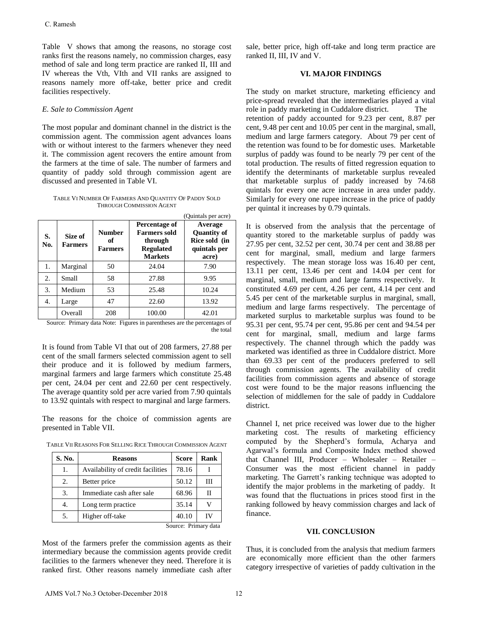#### *E. Sale to Commission Agent*

TABLE VI NUMBER OF FARMERS AND QUANTITY OF PADDY SOLD THROUGH COMMISSION AGENT

|                                                                                                                                               | ranks first the reasons namely, no commission charges, easy<br>method of sale and long term practice are ranked II, III and<br>IV whereas the Vth, VIth and VII ranks are assigned to<br>reasons namely more off-take, better price and credit<br>facilities respectively. |  |                                                                                                              |                                                                                                                                                                                                                                                                                                                                                                                                                                               |                               |                                                                                       |  |
|-----------------------------------------------------------------------------------------------------------------------------------------------|----------------------------------------------------------------------------------------------------------------------------------------------------------------------------------------------------------------------------------------------------------------------------|--|--------------------------------------------------------------------------------------------------------------|-----------------------------------------------------------------------------------------------------------------------------------------------------------------------------------------------------------------------------------------------------------------------------------------------------------------------------------------------------------------------------------------------------------------------------------------------|-------------------------------|---------------------------------------------------------------------------------------|--|
|                                                                                                                                               |                                                                                                                                                                                                                                                                            |  | E. Sale to Commission Agent                                                                                  |                                                                                                                                                                                                                                                                                                                                                                                                                                               |                               |                                                                                       |  |
|                                                                                                                                               |                                                                                                                                                                                                                                                                            |  | discussed and presented in Table VI.                                                                         | The most popular and dominant channel in the district is the<br>commission agent. The commission agent advances loans<br>with or without interest to the farmers whenever they need<br>it. The commission agent recovers the entire amount from<br>the farmers at the time of sale. The number of farmers and<br>quantity of paddy sold through commission agent are                                                                          |                               |                                                                                       |  |
|                                                                                                                                               |                                                                                                                                                                                                                                                                            |  |                                                                                                              | TABLE VI NUMBER OF FARMERS AND QUANTITY OF PADDY SOLD<br><b>THROUGH COMMISSION AGENT</b>                                                                                                                                                                                                                                                                                                                                                      |                               |                                                                                       |  |
| S.<br>No.                                                                                                                                     | Size of<br><b>Farmers</b>                                                                                                                                                                                                                                                  |  | Percentage of<br><b>Farmers sold</b><br><b>Number</b><br>of<br>through<br><b>Farmers</b><br><b>Regulated</b> |                                                                                                                                                                                                                                                                                                                                                                                                                                               |                               | (Quintals per acre)<br>Average<br><b>Quantity of</b><br>Rice sold (in<br>quintals per |  |
| 1.                                                                                                                                            | Marginal                                                                                                                                                                                                                                                                   |  | 50                                                                                                           | <b>Markets</b><br>24.04                                                                                                                                                                                                                                                                                                                                                                                                                       |                               | acre)<br>7.90                                                                         |  |
| 2.                                                                                                                                            | Small                                                                                                                                                                                                                                                                      |  | 58                                                                                                           | 27.88                                                                                                                                                                                                                                                                                                                                                                                                                                         |                               | 9.95                                                                                  |  |
| 3.                                                                                                                                            | Medium                                                                                                                                                                                                                                                                     |  | 53                                                                                                           | 25.48                                                                                                                                                                                                                                                                                                                                                                                                                                         |                               | 10.24                                                                                 |  |
| 4.                                                                                                                                            | Large                                                                                                                                                                                                                                                                      |  | 47                                                                                                           | 22.60                                                                                                                                                                                                                                                                                                                                                                                                                                         |                               | 13.92                                                                                 |  |
|                                                                                                                                               | Overall                                                                                                                                                                                                                                                                    |  | 208                                                                                                          | 100.00                                                                                                                                                                                                                                                                                                                                                                                                                                        |                               | 42.01                                                                                 |  |
|                                                                                                                                               |                                                                                                                                                                                                                                                                            |  |                                                                                                              | It is found from Table VI that out of 208 farmers, 27.88 per<br>cent of the small farmers selected commission agent to sell<br>their produce and it is followed by medium farmers,<br>marginal farmers and large farmers which constitute 25.48<br>per cent, 24.04 per cent and 22.60 per cent respectively.<br>The average quantity sold per acre varied from 7.90 quintals<br>to 13.92 quintals with respect to marginal and large farmers. |                               |                                                                                       |  |
| The reasons for the choice of commission agents are<br>presented in Table VII.<br>TABLE VII REASONS FOR SELLING RICE THROUGH COMMISSION AGENT |                                                                                                                                                                                                                                                                            |  |                                                                                                              |                                                                                                                                                                                                                                                                                                                                                                                                                                               |                               |                                                                                       |  |
|                                                                                                                                               |                                                                                                                                                                                                                                                                            |  | <b>Reasons</b>                                                                                               |                                                                                                                                                                                                                                                                                                                                                                                                                                               | <b>Score</b>                  | Rank                                                                                  |  |
|                                                                                                                                               | S. No.                                                                                                                                                                                                                                                                     |  |                                                                                                              | Availability of credit facilities                                                                                                                                                                                                                                                                                                                                                                                                             | 78.16                         | Ι                                                                                     |  |
|                                                                                                                                               | 1.                                                                                                                                                                                                                                                                         |  | Better price                                                                                                 |                                                                                                                                                                                                                                                                                                                                                                                                                                               | 50.12                         | Ш                                                                                     |  |
|                                                                                                                                               | 2.                                                                                                                                                                                                                                                                         |  | Immediate cash after sale                                                                                    |                                                                                                                                                                                                                                                                                                                                                                                                                                               | 68.96                         | П                                                                                     |  |
|                                                                                                                                               | 3.                                                                                                                                                                                                                                                                         |  | Long term practice                                                                                           |                                                                                                                                                                                                                                                                                                                                                                                                                                               | 35.14                         |                                                                                       |  |
|                                                                                                                                               | 4.                                                                                                                                                                                                                                                                         |  |                                                                                                              |                                                                                                                                                                                                                                                                                                                                                                                                                                               |                               | V                                                                                     |  |
|                                                                                                                                               | 5.                                                                                                                                                                                                                                                                         |  | Higher off-take                                                                                              |                                                                                                                                                                                                                                                                                                                                                                                                                                               | 40.10<br>Source: Primary data | IV                                                                                    |  |

TABLE VII REASONS FOR SELLING RICE THROUGH COMMISSION AGENT

| S. No.               | <b>Reasons</b>                    | <b>Score</b> | Rank |  |  |  |
|----------------------|-----------------------------------|--------------|------|--|--|--|
| 1.                   | Availability of credit facilities | 78.16        |      |  |  |  |
| 2.                   | Better price                      | 50.12        | Ш    |  |  |  |
| 3.                   | Immediate cash after sale         | 68.96        | Н    |  |  |  |
| 4.                   | Long term practice                | 35.14        |      |  |  |  |
| 5.                   | Higher off-take                   | 40.10        | IV   |  |  |  |
| Source: Primary data |                                   |              |      |  |  |  |

sale, better price, high off-take and long term practice are ranked II, III, IV and V.

## **VI. MAJOR FINDINGS**

The study on market structure, marketing efficiency and price-spread revealed that the intermediaries played a vital role in paddy marketing in Cuddalore district. retention of paddy accounted for 9.23 per cent, 8.87 per cent, 9.48 per cent and 10.05 per cent in the marginal, small, medium and large farmers category. About 79 per cent of the retention was found to be for domestic uses. Marketable surplus of paddy was found to be nearly 79 per cent of the total production. The results of fitted regression equation to identify the determinants of marketable surplus revealed that marketable surplus of paddy increased by 74.68 quintals for every one acre increase in area under paddy. Similarly for every one rupee increase in the price of paddy per quintal it increases by 0.79 quintals.

It is observed from the analysis that the percentage of quantity stored to the marketable surplus of paddy was 27.95 per cent, 32.52 per cent, 30.74 per cent and 38.88 per cent for marginal, small, medium and large farmers respectively. The mean storage loss was 16.40 per cent, 13.11 per cent, 13.46 per cent and 14.04 per cent for marginal, small, medium and large farms respectively. It constituted 4.69 per cent, 4.26 per cent, 4.14 per cent and 5.45 per cent of the marketable surplus in marginal, small, medium and large farms respectively. The percentage of marketed surplus to marketable surplus was found to be 95.31 per cent, 95.74 per cent, 95.86 per cent and 94.54 per cent for marginal, small, medium and large farms respectively. The channel through which the paddy was marketed was identified as three in Cuddalore district. More than 69.33 per cent of the producers preferred to sell through commission agents. The availability of credit facilities from commission agents and absence of storage cost were found to be the major reasons influencing the selection of middlemen for the sale of paddy in Cuddalore district.

Channel I, net price received was lower due to the higher marketing cost. The results of marketing efficiency computed by the Shepherd's formula, Acharya and Agarwal's formula and Composite Index method showed that Channel III, Producer – Wholesaler – Retailer – Consumer was the most efficient channel in paddy marketing. The Garrett's ranking technique was adopted to identify the major problems in the marketing of paddy. It was found that the fluctuations in prices stood first in the ranking followed by heavy commission charges and lack of finance.

#### **VII. CONCLUSION**

Thus, it is concluded from the analysis that medium farmers are economically more efficient than the other farmers category irrespective of varieties of paddy cultivation in the